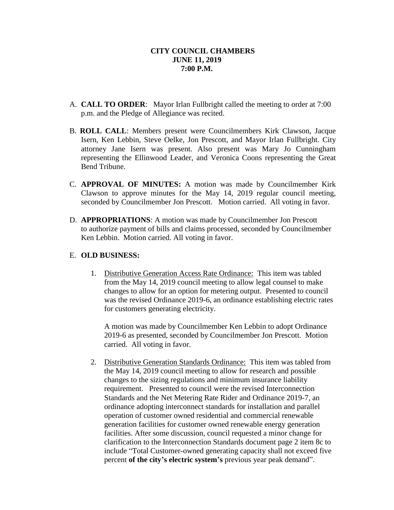- A. **CALL TO ORDER**: Mayor Irlan Fullbright called the meeting to order at 7:00 p.m. and the Pledge of Allegiance was recited.
- B. **ROLL CALL**: Members present were Councilmembers Kirk Clawson, Jacque Isern, Ken Lebbin, Steve Oelke, Jon Prescott, and Mayor Irlan Fullbright. City attorney Jane Isern was present. Also present was Mary Jo Cunningham representing the Ellinwood Leader, and Veronica Coons representing the Great Bend Tribune.
- C. **APPROVAL OF MINUTES:** A motion was made by Councilmember Kirk Clawson to approve minutes for the May 14, 2019 regular council meeting, seconded by Councilmember Jon Prescott. Motion carried. All voting in favor.
- D. **APPROPRIATIONS**: A motion was made by Councilmember Jon Prescott to authorize payment of bills and claims processed, seconded by Councilmember Ken Lebbin. Motion carried. All voting in favor.

## E. **OLD BUSINESS:**

1. Distributive Generation Access Rate Ordinance: This item was tabled from the May 14, 2019 council meeting to allow legal counsel to make changes to allow for an option for metering output. Presented to council was the revised Ordinance 2019-6, an ordinance establishing electric rates for customers generating electricity.

A motion was made by Councilmember Ken Lebbin to adopt Ordinance 2019-6 as presented, seconded by Councilmember Jon Prescott. Motion carried. All voting in favor.

 2. Distributive Generation Standards Ordinance: This item was tabled from the May 14, 2019 council meeting to allow for research and possible changes to the sizing regulations and minimum insurance liability requirement. Presented to council were the revised Interconnection Standards and the Net Metering Rate Rider and Ordinance 2019-7, an ordinance adopting interconnect standards for installation and parallel operation of customer owned residential and commercial renewable generation facilities for customer owned renewable energy generation facilities. After some discussion, council requested a minor change for clarification to the Interconnection Standards document page 2 item 8c to include "Total Customer-owned generating capacity shall not exceed five percent **of the city's electric system's** previous year peak demand".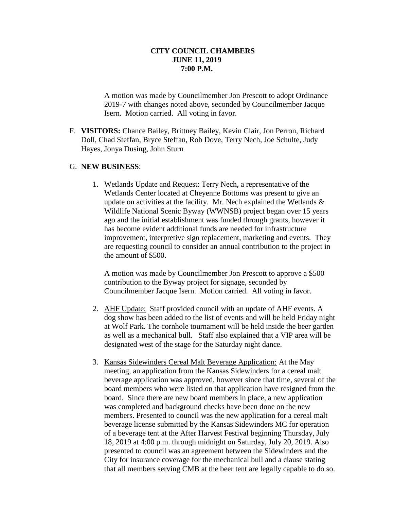A motion was made by Councilmember Jon Prescott to adopt Ordinance 2019-7 with changes noted above, seconded by Councilmember Jacque Isern. Motion carried. All voting in favor.

F. **VISITORS:** Chance Bailey, Brittney Bailey, Kevin Clair, Jon Perron, Richard Doll, Chad Steffan, Bryce Steffan, Rob Dove, Terry Nech, Joe Schulte, Judy Hayes, Jonya Dusing, John Sturn

### G. **NEW BUSINESS**:

1. Wetlands Update and Request: Terry Nech, a representative of the Wetlands Center located at Cheyenne Bottoms was present to give an update on activities at the facility. Mr. Nech explained the Wetlands  $\&$ Wildlife National Scenic Byway (WWNSB) project began over 15 years ago and the initial establishment was funded through grants, however it has become evident additional funds are needed for infrastructure improvement, interpretive sign replacement, marketing and events. They are requesting council to consider an annual contribution to the project in the amount of \$500.

A motion was made by Councilmember Jon Prescott to approve a \$500 contribution to the Byway project for signage, seconded by Councilmember Jacque Isern. Motion carried. All voting in favor.

- 2. AHF Update: Staff provided council with an update of AHF events. A dog show has been added to the list of events and will be held Friday night at Wolf Park. The cornhole tournament will be held inside the beer garden as well as a mechanical bull. Staff also explained that a VIP area will be designated west of the stage for the Saturday night dance.
- 3. Kansas Sidewinders Cereal Malt Beverage Application: At the May meeting, an application from the Kansas Sidewinders for a cereal malt beverage application was approved, however since that time, several of the board members who were listed on that application have resigned from the board. Since there are new board members in place, a new application was completed and background checks have been done on the new members. Presented to council was the new application for a cereal malt beverage license submitted by the Kansas Sidewinders MC for operation of a beverage tent at the After Harvest Festival beginning Thursday, July 18, 2019 at 4:00 p.m. through midnight on Saturday, July 20, 2019. Also presented to council was an agreement between the Sidewinders and the City for insurance coverage for the mechanical bull and a clause stating that all members serving CMB at the beer tent are legally capable to do so.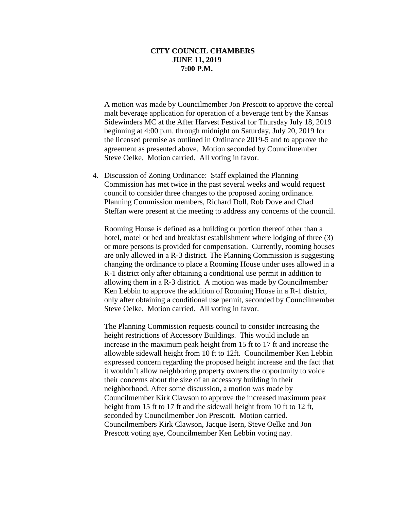A motion was made by Councilmember Jon Prescott to approve the cereal malt beverage application for operation of a beverage tent by the Kansas Sidewinders MC at the After Harvest Festival for Thursday July 18, 2019 beginning at 4:00 p.m. through midnight on Saturday, July 20, 2019 for the licensed premise as outlined in Ordinance 2019-5 and to approve the agreement as presented above. Motion seconded by Councilmember Steve Oelke. Motion carried. All voting in favor.

4. Discussion of Zoning Ordinance: Staff explained the Planning Commission has met twice in the past several weeks and would request council to consider three changes to the proposed zoning ordinance. Planning Commission members, Richard Doll, Rob Dove and Chad Steffan were present at the meeting to address any concerns of the council.

Rooming House is defined as a building or portion thereof other than a hotel, motel or bed and breakfast establishment where lodging of three (3) or more persons is provided for compensation. Currently, rooming houses are only allowed in a R-3 district. The Planning Commission is suggesting changing the ordinance to place a Rooming House under uses allowed in a R-1 district only after obtaining a conditional use permit in addition to allowing them in a R-3 district. A motion was made by Councilmember Ken Lebbin to approve the addition of Rooming House in a R-1 district, only after obtaining a conditional use permit, seconded by Councilmember Steve Oelke. Motion carried. All voting in favor.

The Planning Commission requests council to consider increasing the height restrictions of Accessory Buildings. This would include an increase in the maximum peak height from 15 ft to 17 ft and increase the allowable sidewall height from 10 ft to 12ft. Councilmember Ken Lebbin expressed concern regarding the proposed height increase and the fact that it wouldn't allow neighboring property owners the opportunity to voice their concerns about the size of an accessory building in their neighborhood. After some discussion, a motion was made by Councilmember Kirk Clawson to approve the increased maximum peak height from 15 ft to 17 ft and the sidewall height from 10 ft to 12 ft, seconded by Councilmember Jon Prescott. Motion carried. Councilmembers Kirk Clawson, Jacque Isern, Steve Oelke and Jon Prescott voting aye, Councilmember Ken Lebbin voting nay.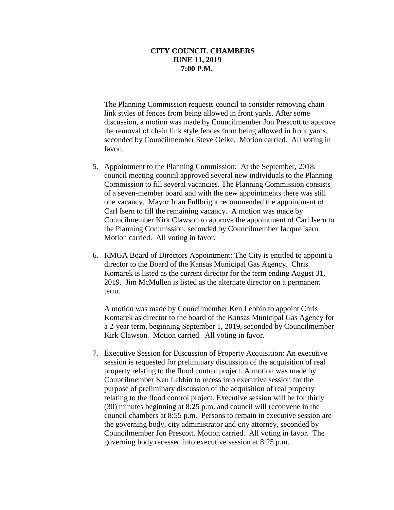The Planning Commission requests council to consider removing chain link styles of fences from being allowed in front yards. After some discussion, a motion was made by Councilmember Jon Prescott to approve the removal of chain link style fences from being allowed in front yards, seconded by Councilmember Steve Oelke. Motion carried. All voting in favor.

- 5. Appointment to the Planning Commission: At the September, 2018, council meeting council approved several new individuals to the Planning Commission to fill several vacancies. The Planning Commission consists of a seven-member board and with the new appointments there was still one vacancy. Mayor Irlan Fullbright recommended the appointment of Carl Isern to fill the remaining vacancy. A motion was made by Councilmember Kirk Clawson to approve the appointment of Carl Isern to the Planning Commission, seconded by Councilmember Jacque Isern. Motion carried. All voting in favor.
- 6. KMGA Board of Directors Appointment: The City is entitled to appoint a director to the Board of the Kansas Municipal Gas Agency. Chris Komarek is listed as the current director for the term ending August 31, 2019. Jim McMullen is listed as the alternate director on a permanent term.

A motion was made by Councilmember Ken Lebbin to appoint Chris Komarek as director to the board of the Kansas Municipal Gas Agency for a 2-year term, beginning September 1, 2019, seconded by Councilmember Kirk Clawson. Motion carried. All voting in favor.

7. Executive Session for Discussion of Property Acquisition: An executive session is requested for preliminary discussion of the acquisition of real property relating to the flood control project. A motion was made by Councilmember Ken Lebbin to recess into executive session for the purpose of preliminary discussion of the acquisition of real property relating to the flood control project. Executive session will be for thirty (30) minutes beginning at 8:25 p.m. and council will reconvene in the council chambers at 8:55 p.m. Persons to remain in executive session are the governing body, city administrator and city attorney, seconded by Councilmember Jon Prescott. Motion carried. All voting in favor. The governing body recessed into executive session at 8:25 p.m.